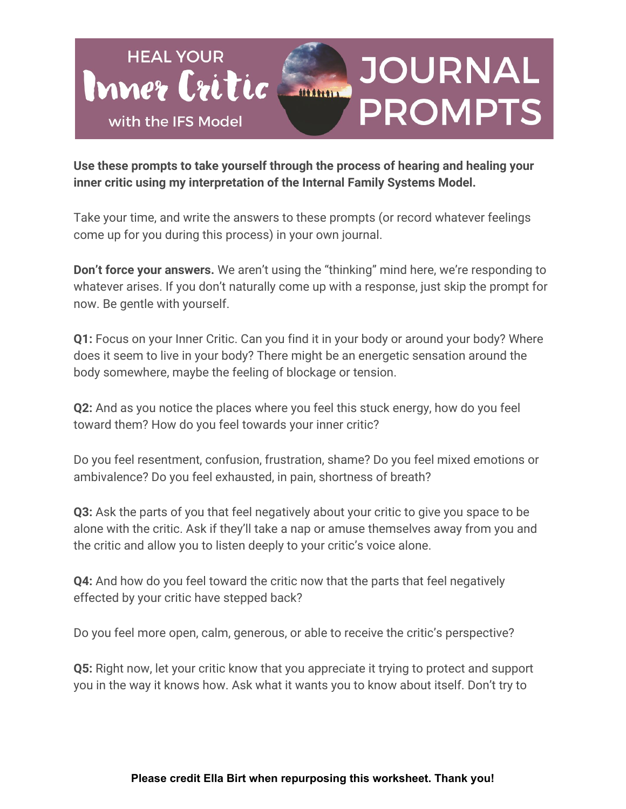

**Use these prompts to take yourself through the process of hearing and healing your inner critic using my interpretation of the Internal Family Systems Model.**

Take your time, and write the answers to these prompts (or record whatever feelings come up for you during this process) in your own journal.

**Don't force your answers.** We aren't using the "thinking" mind here, we're responding to whatever arises. If you don't naturally come up with a response, just skip the prompt for now. Be gentle with yourself.

**Q1:** Focus on your Inner Critic. Can you find it in your body or around your body? Where does it seem to live in your body? There might be an energetic sensation around the body somewhere, maybe the feeling of blockage or tension.

**Q2:** And as you notice the places where you feel this stuck energy, how do you feel toward them? How do you feel towards your inner critic?

Do you feel resentment, confusion, frustration, shame? Do you feel mixed emotions or ambivalence? Do you feel exhausted, in pain, shortness of breath?

**Q3:** Ask the parts of you that feel negatively about your critic to give you space to be alone with the critic. Ask if they'll take a nap or amuse themselves away from you and the critic and allow you to listen deeply to your critic's voice alone.

**Q4:** And how do you feel toward the critic now that the parts that feel negatively effected by your critic have stepped back?

Do you feel more open, calm, generous, or able to receive the critic's perspective?

**Q5:** Right now, let your critic know that you appreciate it trying to protect and support you in the way it knows how. Ask what it wants you to know about itself. Don't try to